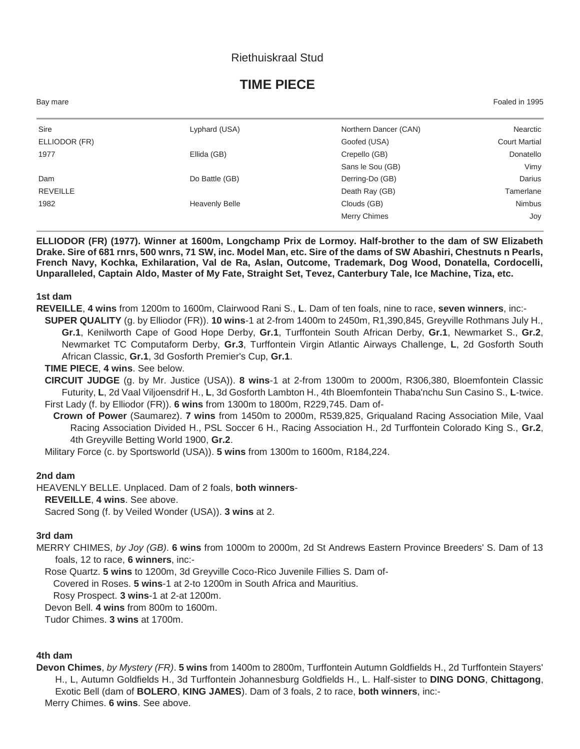## Riethuiskraal Stud

# **TIME PIECE**

| Bay mare        |                       |                       | Foaled in 1995       |
|-----------------|-----------------------|-----------------------|----------------------|
| Sire            | Lyphard (USA)         | Northern Dancer (CAN) | Nearctic             |
| ELLIODOR (FR)   |                       | Goofed (USA)          | <b>Court Martial</b> |
| 1977            | Ellida (GB)           | Crepello (GB)         | Donatello            |
|                 |                       | Sans le Sou (GB)      | Vimy                 |
| Dam             | Do Battle (GB)        | Derring-Do (GB)       | Darius               |
| <b>REVEILLE</b> |                       | Death Ray (GB)        | Tamerlane            |
| 1982            | <b>Heavenly Belle</b> | Clouds (GB)           | <b>Nimbus</b>        |
|                 |                       | <b>Merry Chimes</b>   | Joy                  |

**ELLIODOR (FR) (1977). Winner at 1600m, Longchamp Prix de Lormoy. Half-brother to the dam of SW Elizabeth Drake. Sire of 681 rnrs, 500 wnrs, 71 SW, inc. Model Man, etc. Sire of the dams of SW Abashiri, Chestnuts n Pearls, French Navy, Kochka, Exhilaration, Val de Ra, Aslan, Outcome, Trademark, Dog Wood, Donatella, Cordocelli, Unparalleled, Captain Aldo, Master of My Fate, Straight Set, Tevez, Canterbury Tale, Ice Machine, Tiza, etc.**

#### **1st dam**

- **REVEILLE**, **4 wins** from 1200m to 1600m, Clairwood Rani S., **L**. Dam of ten foals, nine to race, **seven winners**, inc:-
	- **SUPER QUALITY** (g. by Elliodor (FR)). **10 wins**-1 at 2-from 1400m to 2450m, R1,390,845, Greyville Rothmans July H., **Gr.1**, Kenilworth Cape of Good Hope Derby, **Gr.1**, Turffontein South African Derby, **Gr.1**, Newmarket S., **Gr.2**, Newmarket TC Computaform Derby, **Gr.3**, Turffontein Virgin Atlantic Airways Challenge, **L**, 2d Gosforth South African Classic, **Gr.1**, 3d Gosforth Premier's Cup, **Gr.1**.

#### **TIME PIECE**, **4 wins**. See below.

**CIRCUIT JUDGE** (g. by Mr. Justice (USA)). **8 wins**-1 at 2-from 1300m to 2000m, R306,380, Bloemfontein Classic Futurity, **L**, 2d Vaal Viljoensdrif H., **L**, 3d Gosforth Lambton H., 4th Bloemfontein Thaba'nchu Sun Casino S., **L**-twice. First Lady (f. by Elliodor (FR)). **6 wins** from 1300m to 1800m, R229,745. Dam of-

**Crown of Power** (Saumarez). **7 wins** from 1450m to 2000m, R539,825, Griqualand Racing Association Mile, Vaal Racing Association Divided H., PSL Soccer 6 H., Racing Association H., 2d Turffontein Colorado King S., **Gr.2**, 4th Greyville Betting World 1900, **Gr.2**.

Military Force (c. by Sportsworld (USA)). **5 wins** from 1300m to 1600m, R184,224.

#### **2nd dam**

HEAVENLY BELLE. Unplaced. Dam of 2 foals, **both winners**-

**REVEILLE**, **4 wins**. See above.

Sacred Song (f. by Veiled Wonder (USA)). **3 wins** at 2.

## **3rd dam**

MERRY CHIMES, *by Joy (GB)*. **6 wins** from 1000m to 2000m, 2d St Andrews Eastern Province Breeders' S. Dam of 13 foals, 12 to race, **6 winners**, inc:-

Rose Quartz. **5 wins** to 1200m, 3d Greyville Coco-Rico Juvenile Fillies S. Dam of-

Covered in Roses. **5 wins**-1 at 2-to 1200m in South Africa and Mauritius.

Rosy Prospect. **3 wins**-1 at 2-at 1200m.

Devon Bell. **4 wins** from 800m to 1600m.

Tudor Chimes. **3 wins** at 1700m.

## **4th dam**

**Devon Chimes**, *by Mystery (FR)*. **5 wins** from 1400m to 2800m, Turffontein Autumn Goldfields H., 2d Turffontein Stayers' H., L, Autumn Goldfields H., 3d Turffontein Johannesburg Goldfields H., L. Half-sister to **DING DONG**, **Chittagong**, Exotic Bell (dam of **BOLERO**, **KING JAMES**). Dam of 3 foals, 2 to race, **both winners**, inc:- Merry Chimes. **6 wins**. See above.